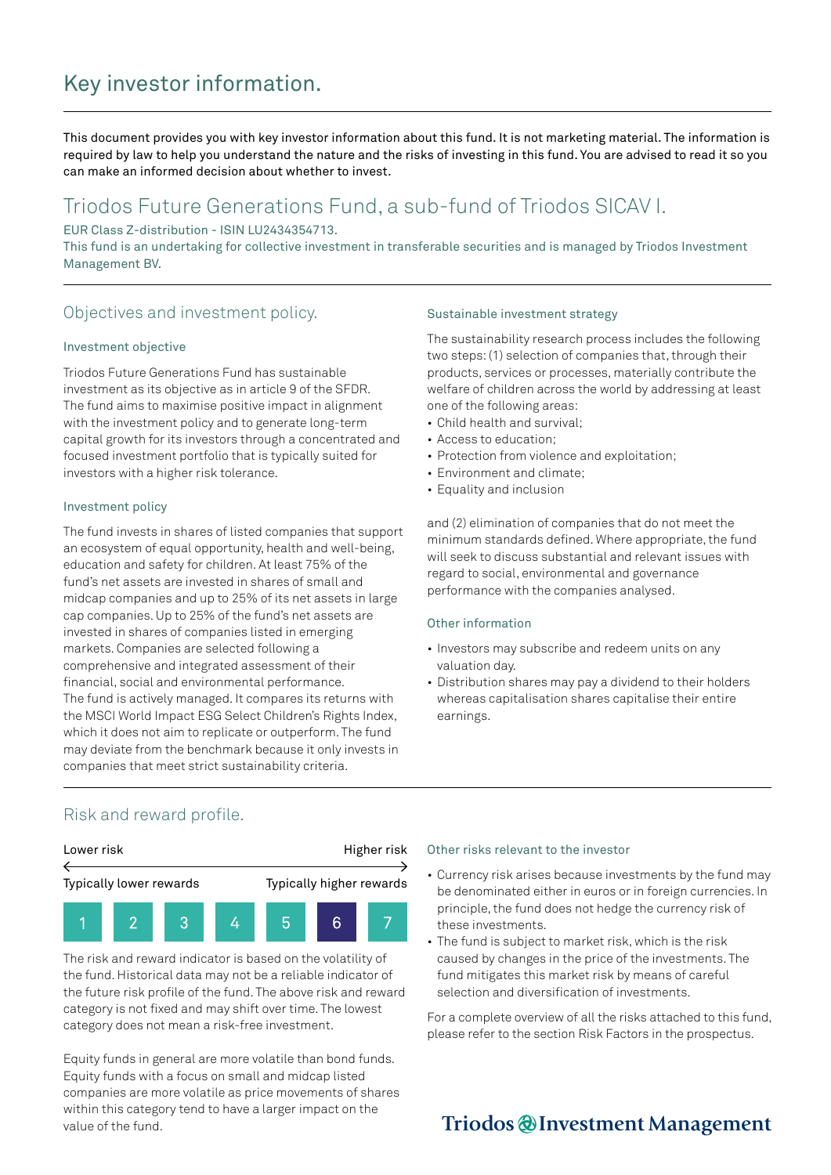# Key investor information.

This document provides you with key investor information about this fund. It is not marketing material. The information is required by law to help you understand the nature and the risks of investing in this fund. You are advised to read it so you can make an informed decision about whether to invest.

## Triodos Future Generations Fund, a sub-fund of Triodos SICAV I.

EUR Class Z-distribution - ISIN LU2434354713.

This fund is an undertaking for collective investment in transferable securities and is managed by Triodos Investment Management BV.

### Objectives and investment policy.

### Investment objective

Triodos Future Generations Fund has sustainable investment as its objective as in article 9 of the SFDR. The fund aims to maximise positive impact in alignment with the investment policy and to generate long-term capital growth for its investors through a concentrated and focused investment portfolio that is typically suited for investors with a higher risk tolerance.

### Investment policy

The fund invests in shares of listed companies that support an ecosystem of equal opportunity, health and well-being, education and safety for children. At least 75% of the fund's net assets are invested in shares of small and midcap companies and up to 25% of its net assets in large cap companies. Up to 25% of the fund's net assets are invested in shares of companies listed in emerging markets. Companies are selected following a comprehensive and integrated assessment of their financial, social and environmental performance. The fund is actively managed. It compares its returns with the MSCI World Impact ESG Select Children's Rights Index, which it does not aim to replicate or outperform. The fund may deviate from the benchmark because it only invests in companies that meet strict sustainability criteria.

#### Sustainable investment strategy

The sustainability research process includes the following two steps: (1) selection of companies that, through their products, services or processes, materially contribute the welfare of children across the world by addressing at least one of the following areas:

- Child health and survival;
- Access to education;
- Protection from violence and exploitation;
- Environment and climate;
- Equality and inclusion

and (2) elimination of companies that do not meet the minimum standards defined. Where appropriate, the fund will seek to discuss substantial and relevant issues with regard to social, environmental and governance performance with the companies analysed.

### Other information

- Investors may subscribe and redeem units on any valuation day.
- Distribution shares may pay a dividend to their holders whereas capitalisation shares capitalise their entire earnings.

### Risk and reward profile.



The risk and reward indicator is based on the volatility of the fund. Historical data may not be a reliable indicator of the future risk profile of the fund. The above risk and reward category is not fixed and may shift over time. The lowest category does not mean a risk-free investment.

Equity funds in general are more volatile than bond funds. Equity funds with a focus on small and midcap listed companies are more volatile as price movements of shares within this category tend to have a larger impact on the value of the fund.

#### Other risks relevant to the investor

- Currency risk arises because investments by the fund may be denominated either in euros or in foreign currencies. In principle, the fund does not hedge the currency risk of these investments.
- The fund is subject to market risk, which is the risk caused by changes in the price of the investments. The fund mitigates this market risk by means of careful selection and diversification of investments.

For a complete overview of all the risks attached to this fund, please refer to the section Risk Factors in the prospectus.

## Triodos @Investment Management